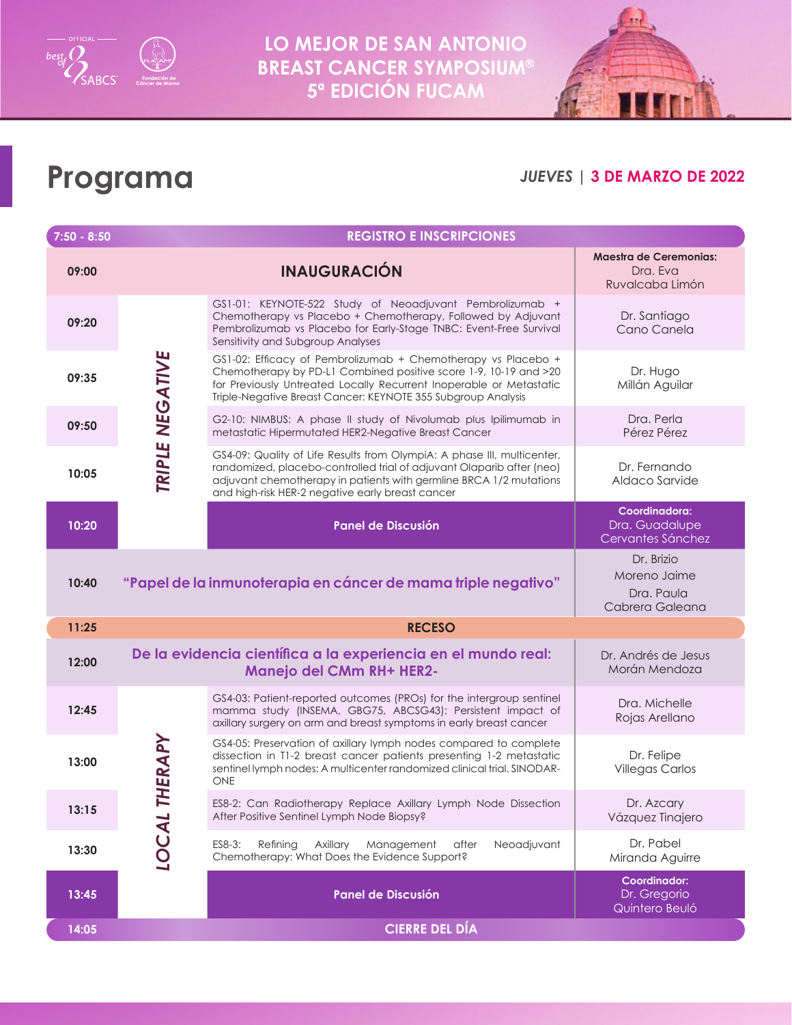

**LO MEJOR DE SAN ANTONIO BREAST CANCER SYMPOSIUM® 5ª EDICIÓN FUCAM**



## **Programa**

#### *JUEVES* **| 3 DE MARZO DE 2022**

| $7:50 - 8:50$ | <b>REGISTRO E INSCRIPCIONES</b> |                                                                                                                                                                                                                                                                            |                                                              |  |  |
|---------------|---------------------------------|----------------------------------------------------------------------------------------------------------------------------------------------------------------------------------------------------------------------------------------------------------------------------|--------------------------------------------------------------|--|--|
| 09:00         |                                 | <b>INAUGURACIÓN</b>                                                                                                                                                                                                                                                        | <b>Maestra de Ceremonias:</b><br>Dra. Eva<br>Ruvalcaba Limón |  |  |
| 09:20         | TRIPLE NEGATIVE                 | GS1-01: KEYNOTE-522 Study of Neoadjuvant Pembrolizumab +<br>Chemotherapy vs Placebo + Chemotherapy, Followed by Adjuvant<br>Pembrolizumab vs Placebo for Early-Stage TNBC: Event-Free Survival<br>Sensitivity and Subgroup Analyses                                        | Dr. Santiago<br>Cano Canela                                  |  |  |
| 09:35         |                                 | GS1-02: Efficacy of Pembrolizumab + Chemotherapy vs Placebo +<br>Chemotherapy by PD-L1 Combined positive score 1-9, 10-19 and >20<br>for Previously Untreated Locally Recurrent Inoperable or Metastatic<br>Triple-Negative Breast Cancer: KEYNOTE 355 Subgroup Analysis   | Dr. Hugo<br>Millán Aguilar                                   |  |  |
| 09:50         |                                 | G2-10: NIMBUS: A phase II study of Nivolumab plus Ipilimumab in<br>metastatic Hipermutated HER2-Negative Breast Cancer                                                                                                                                                     | Dra. Perla<br>Pérez Pérez                                    |  |  |
| 10:05         |                                 | GS4-09: Quality of Life Results from OlympiA: A phase III, multicenter,<br>randomized, placebo-controlled trial of adjuvant Olaparib after (neo)<br>adjuvant chemotherapy in patients with germline BRCA 1/2 mutations<br>and high-risk HER-2 negative early breast cancer | Dr. Fernando<br>Aldaco Sarvide                               |  |  |
| 10:20         |                                 | <b>Panel de Discusión</b>                                                                                                                                                                                                                                                  | Coordinadora:<br>Dra. Guadalupe<br>Cervantes Sánchez         |  |  |
| 10:40         |                                 | "Papel de la inmunoterapia en cáncer de mama triple negativo"                                                                                                                                                                                                              | Dr. Brizio<br>Moreno Jaime<br>Dra. Paula<br>Cabrera Galeana  |  |  |
| 11:25         | <b>RECESO</b>                   |                                                                                                                                                                                                                                                                            |                                                              |  |  |
| 12:00         |                                 | De la evidencia científica a la experiencia en el mundo real:<br><b>Manejo del CMm RH+ HER2-</b>                                                                                                                                                                           | Dr. Andrés de Jesus<br>Morán Mendoza                         |  |  |
| 12:45         | HERAPY                          | GS4-03: Patient-reported outcomes (PROs) for the intergroup sentinel<br>mamma study (INSEMA, GBG75, ABCSG43): Persistent impact of<br>axillary surgery on arm and breast symptoms in early breast cancer                                                                   | Dra. Michelle<br>Rojas Arellano                              |  |  |
| 13:00         |                                 | GS4-05: Preservation of axillary lymph nodes compared to complete<br>dissection in T1-2 breast cancer patients presenting 1-2 metastatic<br>sentinel lymph nodes: A multicenter randomized clinical trial. SINODAR-<br>ONE                                                 | Dr. Felipe<br><b>Villegas Carlos</b>                         |  |  |
| 13:15         | Н                               | ES8-2: Can Radiotherapy Replace Axillary Lymph Node Dissection<br>After Positive Sentinel Lymph Node Biopsy?                                                                                                                                                               | Dr. Azcary<br>Vázquez Tinajero                               |  |  |
| 13:30         | <b>IOCAL</b>                    | ES8-3:<br>Neoadjuvant<br>Refining<br>Axillary<br>Management<br>after<br>Chemotherapy: What Does the Evidence Support?                                                                                                                                                      | Dr. Pabel<br>Miranda Aguirre                                 |  |  |
| 13:45         |                                 | Panel de Discusión                                                                                                                                                                                                                                                         | Coordinador:<br>Dr. Gregorio<br>Quintero Beuló               |  |  |
| 14:05         |                                 | <b>CIERRE DEL DÍA</b>                                                                                                                                                                                                                                                      |                                                              |  |  |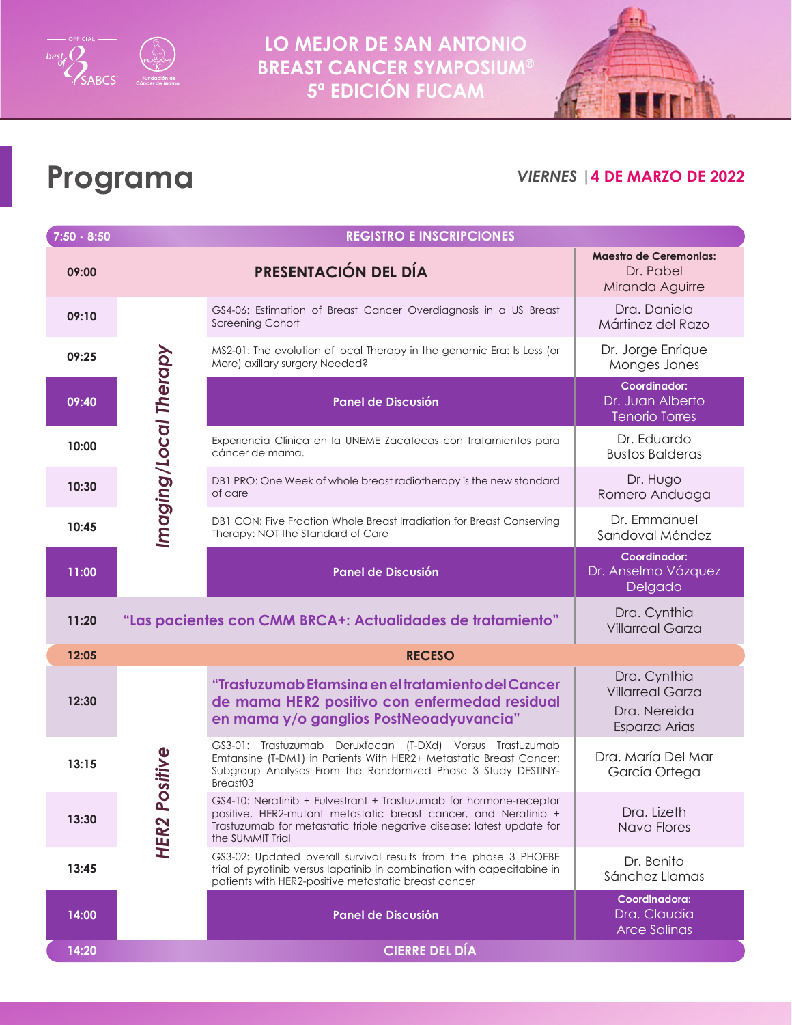



# **Programa**

#### *VIERNES* **|4 DE MARZO DE 2022**

| $7:50 - 8:50$ | <b>REGISTRO E INSCRIPCIONES</b>             |                                                                                                                                                                                                                                    |                                                                          |  |  |  |
|---------------|---------------------------------------------|------------------------------------------------------------------------------------------------------------------------------------------------------------------------------------------------------------------------------------|--------------------------------------------------------------------------|--|--|--|
| 09:00         |                                             | PRESENTACIÓN DEL DÍA                                                                                                                                                                                                               | <b>Maestro de Ceremonias:</b><br>Dr. Pabel<br>Miranda Aguirre            |  |  |  |
| 09:10         | Imaging/Local Therapy                       | GS4-06: Estimation of Breast Cancer Overdiagnosis in a US Breast<br><b>Screening Cohort</b>                                                                                                                                        | Dra. Daniela<br>Mártinez del Razo                                        |  |  |  |
| 09:25         |                                             | MS2-01: The evolution of local Therapy in the genomic Era: Is Less (or<br>More) axillary surgery Needed?                                                                                                                           | Dr. Jorge Enrique<br>Monges Jones                                        |  |  |  |
| 09:40         |                                             | Panel de Discusión                                                                                                                                                                                                                 | <b>Coordinador:</b><br>Dr. Juan Alberto<br><b>Tenorio Torres</b>         |  |  |  |
| 10:00         |                                             | Experiencia Clínica en la UNEME Zacatecas con tratamientos para<br>cáncer de mama.                                                                                                                                                 | Dr. Eduardo<br><b>Bustos Balderas</b>                                    |  |  |  |
| 10:30         |                                             | DB1 PRO: One Week of whole breast radiotherapy is the new standard<br>of care                                                                                                                                                      | Dr. Hugo<br>Romero Anduaga                                               |  |  |  |
| 10:45         |                                             | DB1 CON: Five Fraction Whole Breast Irradiation for Breast Conserving<br>Therapy: NOT the Standard of Care                                                                                                                         | Dr. Emmanuel<br>Sandoval Méndez                                          |  |  |  |
| 11:00         |                                             | <b>Panel de Discusión</b>                                                                                                                                                                                                          | Coordinador:<br>Dr. Anselmo Vázquez<br>Delgado                           |  |  |  |
| 11:20         |                                             | "Las pacientes con CMM BRCA+: Actualidades de tratamiento"                                                                                                                                                                         | Dra. Cynthia<br><b>Villarreal Garza</b>                                  |  |  |  |
| 12:05         |                                             | <b>RECESO</b>                                                                                                                                                                                                                      |                                                                          |  |  |  |
| 12:30         | ositive<br>$\mathbf{a}$<br>HER <sub>2</sub> | "Trastuzumab Etamsina en el tratamiento del Cancer<br>de mama HER2 positivo con enfermedad residual<br>en mama y/o ganglios PostNeoadyuvancia"                                                                                     | Dra. Cynthia<br><b>Villarreal Garza</b><br>Dra. Nereida<br>Esparza Arias |  |  |  |
| 13:15         |                                             | GS3-01: Trastuzumab Deruxtecan (T-DXd) Versus Trastuzumab<br>Emtansine (T-DM1) in Patients With HER2+ Metastatic Breast Cancer:<br>Subgroup Analyses From the Randomized Phase 3 Study DESTINY-<br>Breast03                        | Dra. María Del Mar<br>García Ortega                                      |  |  |  |
| 13:30         |                                             | GS4-10: Neratinib + Fulvestrant + Trastuzumab for hormone-receptor<br>positive, HER2-mutant metastatic breast cancer, and Neratinib +<br>Trastuzumab for metastatic triple negative disease: latest update for<br>the SUMMIT Trial | Dra. Lizeth<br>Nava Flores                                               |  |  |  |
| 13:45         |                                             | GS3-02: Updated overall survival results from the phase 3 PHOEBE<br>trial of pyrotinib versus lapatinib in combination with capecitabine in<br>patients with HER2-positive metastatic breast cancer                                | Dr. Benito<br>Sánchez Llamas                                             |  |  |  |
| 14:00         |                                             | Panel de Discusión                                                                                                                                                                                                                 | Coordinadora:<br>Dra. Claudia<br><b>Arce Salinas</b>                     |  |  |  |
| 14:20         |                                             | <b>CIERRE DEL DÍA</b>                                                                                                                                                                                                              |                                                                          |  |  |  |